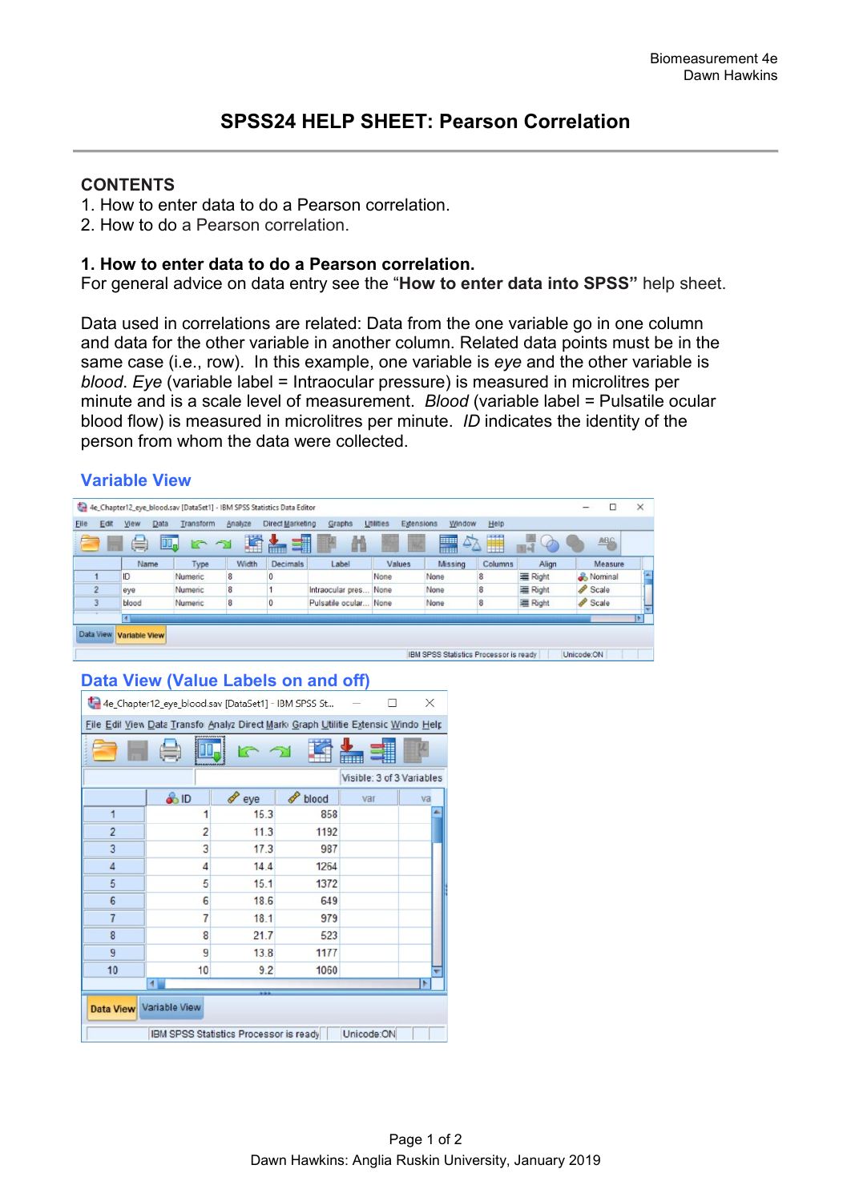### **CONTENTS**

- 1. How to enter data to do a Pearson correlation.
- 2. How to do a Pearson correlation.

### **1. How to enter data to do a Pearson correlation.**

For general advice on data entry see the "**How to enter data into SPSS"** help sheet.

Data used in correlations are related: Data from the one variable go in one column and data for the other variable in another column. Related data points must be in the same case (i.e., row). In this example, one variable is *eye* and the other variable is *blood*. *Eye* (variable label = Intraocular pressure) is measured in microlitres per minute and is a scale level of measurement. *Blood* (variable label = Pulsatile ocular blood flow) is measured in microlitres per minute. *ID* indicates the identity of the person from whom the data were collected.

## **Variable View**

|                |                      |             | 4e_Chapter12_eye_blood.sav [DataSet1] - IBM SPSS Statistics Data Editor |         |                  |                  |                                |                                        |         |         | □                  | $\times$   |
|----------------|----------------------|-------------|-------------------------------------------------------------------------|---------|------------------|------------------|--------------------------------|----------------------------------------|---------|---------|--------------------|------------|
| <b>File</b>    | Edit<br>View         | <b>Data</b> | Transform                                                               | Analyze | Direct Marketing | Graphs           | <b>Utilities</b><br>Extensions | Window                                 | Help    |         |                    |            |
|                | S                    | w.          |                                                                         | Ħ       | ▆                |                  |                                | 47<br><b>Allian</b>                    | H       | 图词      | <b>ABC</b>         |            |
|                |                      | Name        | Type                                                                    | Width   | <b>Decimals</b>  | Label            | Values                         | Missing                                | Columns | Align   | Measure            |            |
|                | ID                   |             | Numeric                                                                 | 8       |                  |                  | None                           | None                                   | 8       | Right   | & Nominal          | <b>SAL</b> |
| $\overline{2}$ | eye                  |             | Numeric                                                                 | 8       |                  | Intraocular pres | None                           | None                                   | 8       | 三 Right | Scale <sub>3</sub> |            |
| 3              | blood                |             | Numeric                                                                 | 8       |                  | Pulsatile ocular | None                           | None                                   | 8       | 三 Right | Scale              |            |
|                | 4                    |             |                                                                         |         |                  |                  |                                |                                        |         |         |                    |            |
| Data View      | <b>Variable View</b> |             |                                                                         |         |                  |                  |                                |                                        |         |         |                    |            |
|                |                      |             |                                                                         |         |                  |                  |                                | IBM SPSS Statistics Processor is ready |         |         | Unicode:ON         |            |

# **Data View (Value Labels on and off)**

| 4e_Chapter12_eye_blood.sav [DataSet1] - IBM SPSS St<br>×                          |                  |          |       |                           |    |  |  |  |  |  |
|-----------------------------------------------------------------------------------|------------------|----------|-------|---------------------------|----|--|--|--|--|--|
| File Edil View Data Transfo Analyz Direct Mark Graph Utilitie Extensic Windo Help |                  |          |       |                           |    |  |  |  |  |  |
|                                                                                   |                  |          |       |                           |    |  |  |  |  |  |
|                                                                                   |                  |          |       | Visible: 3 of 3 Variables |    |  |  |  |  |  |
|                                                                                   | $\frac{a}{a}$ ID | P<br>eye | blood | var                       | va |  |  |  |  |  |
| 1                                                                                 | 1                | 15.3     | 858   |                           |    |  |  |  |  |  |
| $\overline{2}$                                                                    | $\overline{2}$   | 11.3     | 1192  |                           |    |  |  |  |  |  |
| 3                                                                                 | 3                | 17.3     | 987   |                           |    |  |  |  |  |  |
| $\overline{4}$                                                                    | 4                | 14.4     | 1264  |                           |    |  |  |  |  |  |
| 5                                                                                 | 5                | 15.1     | 1372  |                           |    |  |  |  |  |  |
| $6\phantom{1}6$                                                                   | 6                | 18.6     | 649   |                           |    |  |  |  |  |  |
| $\overline{7}$                                                                    | $\overline{7}$   | 18.1     | 979   |                           |    |  |  |  |  |  |
| 8                                                                                 | 8                | 21.7     | 523   |                           |    |  |  |  |  |  |
| 9                                                                                 | 9                | 13.8     | 1177  |                           |    |  |  |  |  |  |
| 10                                                                                | 10               | 9.2      | 1060  |                           |    |  |  |  |  |  |
| $\blacktriangleleft$<br>۰                                                         |                  |          |       |                           |    |  |  |  |  |  |
| Data View Variable View                                                           |                  |          |       |                           |    |  |  |  |  |  |
| Unicode:ON<br>IBM SPSS Statistics Processor is ready                              |                  |          |       |                           |    |  |  |  |  |  |